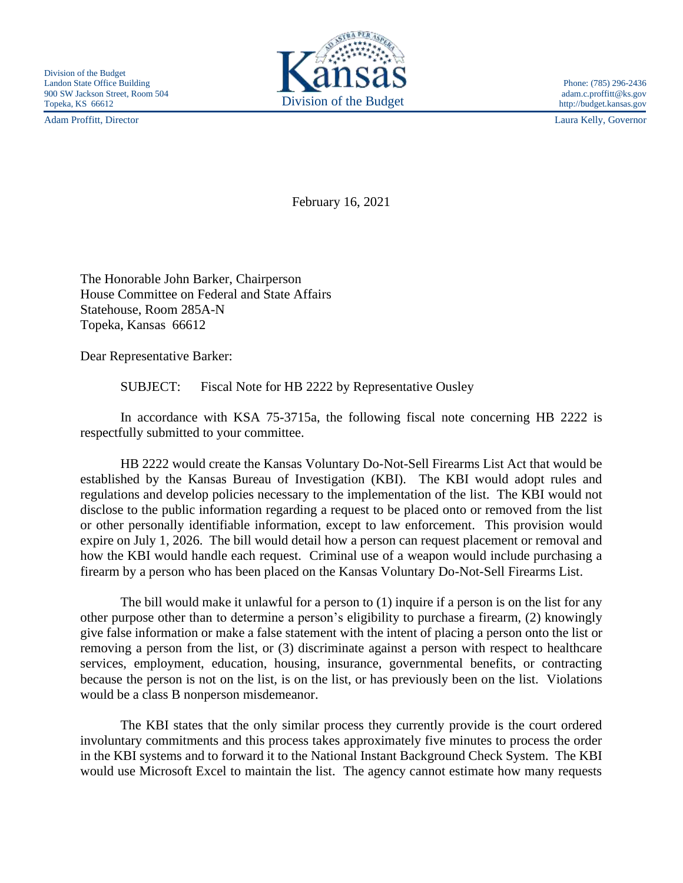Adam Proffitt, Director Laura Kelly, Governor



http://budget.kansas.gov

February 16, 2021

The Honorable John Barker, Chairperson House Committee on Federal and State Affairs Statehouse, Room 285A-N Topeka, Kansas 66612

Dear Representative Barker:

SUBJECT: Fiscal Note for HB 2222 by Representative Ousley

In accordance with KSA 75-3715a, the following fiscal note concerning HB 2222 is respectfully submitted to your committee.

HB 2222 would create the Kansas Voluntary Do-Not-Sell Firearms List Act that would be established by the Kansas Bureau of Investigation (KBI). The KBI would adopt rules and regulations and develop policies necessary to the implementation of the list. The KBI would not disclose to the public information regarding a request to be placed onto or removed from the list or other personally identifiable information, except to law enforcement. This provision would expire on July 1, 2026. The bill would detail how a person can request placement or removal and how the KBI would handle each request. Criminal use of a weapon would include purchasing a firearm by a person who has been placed on the Kansas Voluntary Do-Not-Sell Firearms List.

The bill would make it unlawful for a person to (1) inquire if a person is on the list for any other purpose other than to determine a person's eligibility to purchase a firearm, (2) knowingly give false information or make a false statement with the intent of placing a person onto the list or removing a person from the list, or (3) discriminate against a person with respect to healthcare services, employment, education, housing, insurance, governmental benefits, or contracting because the person is not on the list, is on the list, or has previously been on the list. Violations would be a class B nonperson misdemeanor.

The KBI states that the only similar process they currently provide is the court ordered involuntary commitments and this process takes approximately five minutes to process the order in the KBI systems and to forward it to the National Instant Background Check System. The KBI would use Microsoft Excel to maintain the list. The agency cannot estimate how many requests